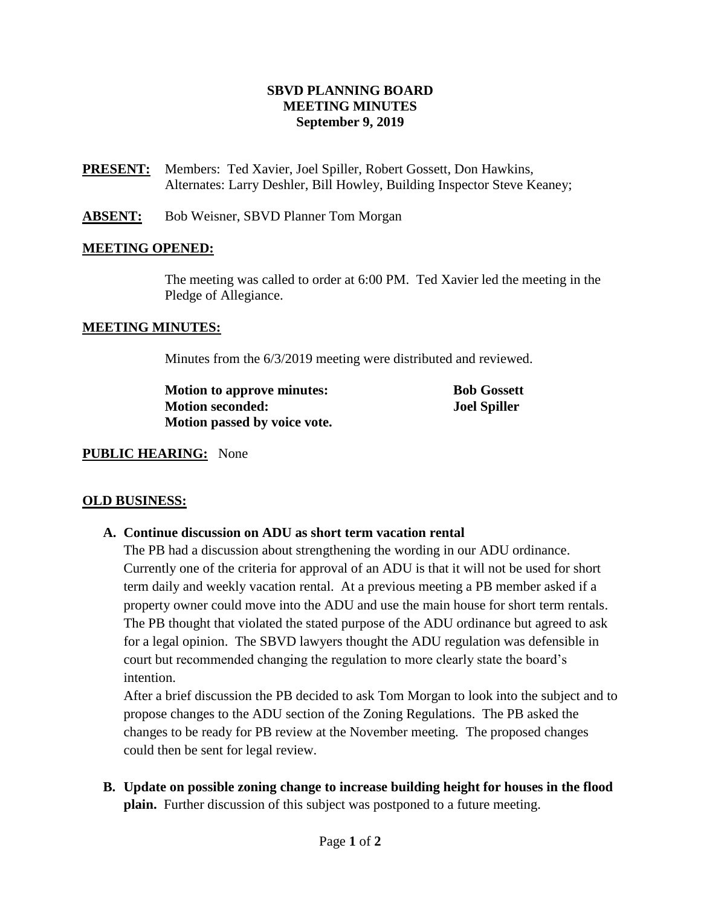## **SBVD PLANNING BOARD MEETING MINUTES September 9, 2019**

**PRESENT:** Members:Ted Xavier, Joel Spiller, Robert Gossett, Don Hawkins, Alternates: Larry Deshler, Bill Howley, Building Inspector Steve Keaney;

**ABSENT:** Bob Weisner, SBVD Planner Tom Morgan

## **MEETING OPENED:**

The meeting was called to order at 6:00 PM. Ted Xavier led the meeting in the Pledge of Allegiance.

#### **MEETING MINUTES:**

Minutes from the 6/3/2019 meeting were distributed and reviewed.

| <b>Motion to approve minutes:</b> | <b>Bob Gossett</b>  |
|-----------------------------------|---------------------|
| <b>Motion seconded:</b>           | <b>Joel Spiller</b> |
| Motion passed by voice vote.      |                     |

#### **PUBLIC HEARING:** None

#### **OLD BUSINESS:**

#### **A. Continue discussion on ADU as short term vacation rental**

The PB had a discussion about strengthening the wording in our ADU ordinance. Currently one of the criteria for approval of an ADU is that it will not be used for short term daily and weekly vacation rental. At a previous meeting a PB member asked if a property owner could move into the ADU and use the main house for short term rentals. The PB thought that violated the stated purpose of the ADU ordinance but agreed to ask for a legal opinion. The SBVD lawyers thought the ADU regulation was defensible in court but recommended changing the regulation to more clearly state the board's intention.

After a brief discussion the PB decided to ask Tom Morgan to look into the subject and to propose changes to the ADU section of the Zoning Regulations. The PB asked the changes to be ready for PB review at the November meeting. The proposed changes could then be sent for legal review.

**B. Update on possible zoning change to increase building height for houses in the flood plain.** Further discussion of this subject was postponed to a future meeting.